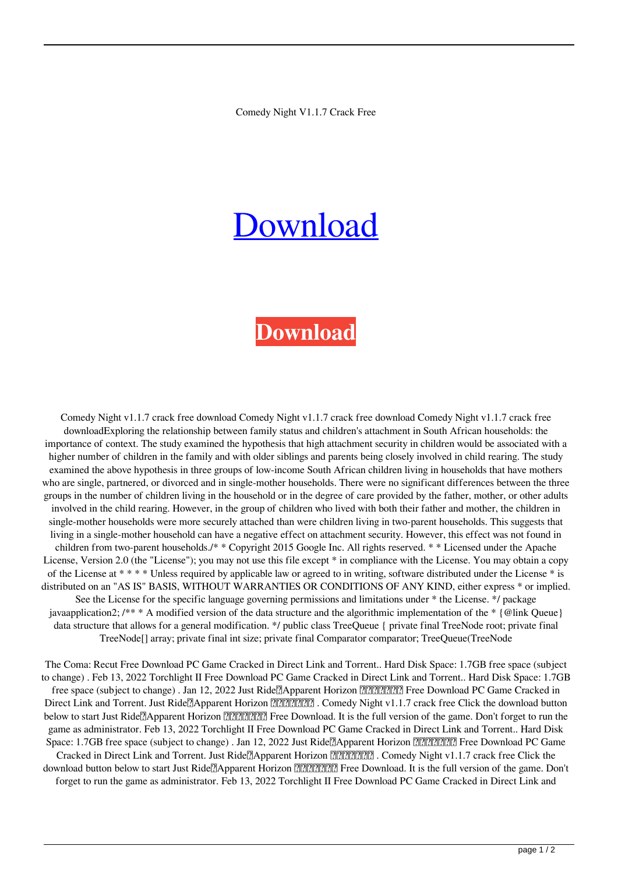## [Download](http://evacdir.com/Q29tZWR5IE5pZ2h0IHYxLjEuNyBjcmFjayBmcmVlQ29?alief=cimt?ZG93bmxvYWR8VlcyTW13d2RIeDhNVFkxTWpjME1EZzJObng4TWpVM05IeDhLRTBwSUhKbFlXUXRZbXh2WnlCYlJtRnpkQ0JIUlU1ZA=florida&lyons=rainbow)

## **[Download](http://evacdir.com/Q29tZWR5IE5pZ2h0IHYxLjEuNyBjcmFjayBmcmVlQ29?alief=cimt?ZG93bmxvYWR8VlcyTW13d2RIeDhNVFkxTWpjME1EZzJObng4TWpVM05IeDhLRTBwSUhKbFlXUXRZbXh2WnlCYlJtRnpkQ0JIUlU1ZA=florida&lyons=rainbow)**

Comedy Night v1.1.7 crack free download Comedy Night v1.1.7 crack free download Comedy Night v1.1.7 crack free downloadExploring the relationship between family status and children's attachment in South African households: the importance of context. The study examined the hypothesis that high attachment security in children would be associated with a higher number of children in the family and with older siblings and parents being closely involved in child rearing. The study examined the above hypothesis in three groups of low-income South African children living in households that have mothers who are single, partnered, or divorced and in single-mother households. There were no significant differences between the three groups in the number of children living in the household or in the degree of care provided by the father, mother, or other adults involved in the child rearing. However, in the group of children who lived with both their father and mother, the children in single-mother households were more securely attached than were children living in two-parent households. This suggests that living in a single-mother household can have a negative effect on attachment security. However, this effect was not found in children from two-parent households./\* \* Copyright 2015 Google Inc. All rights reserved. \* \* Licensed under the Apache License, Version 2.0 (the "License"); you may not use this file except \* in compliance with the License. You may obtain a copy of the License at \* \* \* \* Unless required by applicable law or agreed to in writing, software distributed under the License \* is distributed on an "AS IS" BASIS, WITHOUT WARRANTIES OR CONDITIONS OF ANY KIND, either express \* or implied. See the License for the specific language governing permissions and limitations under \* the License. \*/ package javaapplication2; /\*\* \* A modified version of the data structure and the algorithmic implementation of the \* {@link Queue} data structure that allows for a general modification. \*/ public class TreeQueue { private final TreeNode root; private final TreeNode[] array; private final int size; private final Comparator comparator; TreeQueue(TreeNode

The Coma: Recut Free Download PC Game Cracked in Direct Link and Torrent.. Hard Disk Space: 1.7GB free space (subject to change) . Feb 13, 2022 Torchlight II Free Download PC Game Cracked in Direct Link and Torrent.. Hard Disk Space: 1.7GB free space (subject to change). Jan 12, 2022 Just Ride ? Apparent Horizon ? ? TREE POWNLOAD PC Game Cracked in Direct Link and Torrent. Just Ride <sup>[2]</sup> Apparent Horizon <sup>[2]</sup> [2] [2] . Comedy Night v1.1.7 crack free Click the download button below to start Just Ride<sup>n</sup>/Apparent Horizon  $\boxed{2222}$ : Free Download. It is the full version of the game. Don't forget to run the game as administrator. Feb 13, 2022 Torchlight II Free Download PC Game Cracked in Direct Link and Torrent.. Hard Disk Space: 1.7GB free space (subject to change). Jan 12, 2022 Just Ride $A$ parent Horizon  $A \sim \frac{1}{2}$  Free Download PC Game Cracked in Direct Link and Torrent. Just Ride?Apparent Horizon . Comedy Night v1.1.7 crack free Click the download button below to start Just Ride:Apparent Horizon 狂飙:极限视界 Free Download. It is the full version of the game. Don't forget to run the game as administrator. Feb 13, 2022 Torchlight II Free Download PC Game Cracked in Direct Link and